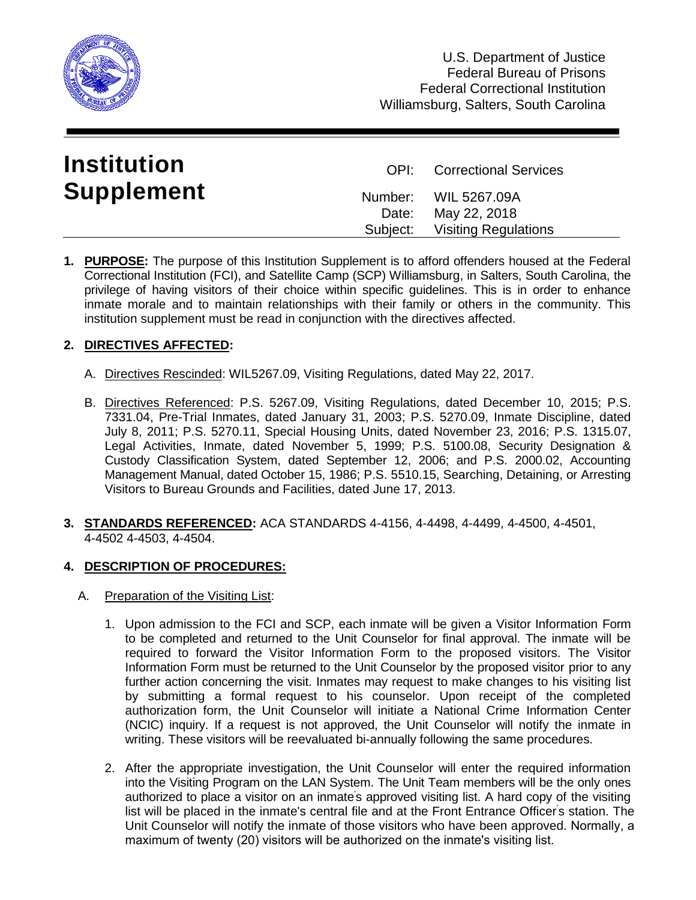

| <b>Institution</b> | <b>OPI:</b> Correctional Services          |
|--------------------|--------------------------------------------|
| <b>Supplement</b>  | Number: WIL 5267.09A<br>Date: May 22, 2018 |
|                    | Subject: Visiting Regulations              |

**1. PURPOSE:** The purpose of this Institution Supplement is to afford offenders housed at the Federal Correctional Institution (FCI), and Satellite Camp (SCP) Williamsburg, in Salters, South Carolina, the privilege of having visitors of their choice within specific guidelines. This is in order to enhance inmate morale and to maintain relationships with their family or others in the community. This institution supplement must be read in conjunction with the directives affected.

# **2. DIRECTIVES AFFECTED:**

- A. Directives Rescinded: WIL5267.09, Visiting Regulations, dated May 22, 2017.
- B. Directives Referenced: P.S. 5267.09, Visiting Regulations, dated December 10, 2015; P.S. 7331.04, Pre-Trial Inmates, dated January 31, 2003; P.S. 5270.09, Inmate Discipline, dated July 8, 2011; P.S. 5270.11, Special Housing Units, dated November 23, 2016; P.S. 1315.07, Legal Activities, Inmate, dated November 5, 1999; P.S. 5100.08, Security Designation & Custody Classification System, dated September 12, 2006; and P.S. 2000.02, Accounting Management Manual, dated October 15, 1986; P.S. 5510.15, Searching, Detaining, or Arresting Visitors to Bureau Grounds and Facilities, dated June 17, 2013.
- **3. STANDARDS REFERENCED:** ACA STANDARDS 4-4156, 4-4498, 4-4499, 4-4500, 4-4501, 4-4502 4-4503, 4-4504.

## **4. DESCRIPTION OF PROCEDURES:**

- A. Preparation of the Visiting List:
	- 1. Upon admission to the FCI and SCP, each inmate will be given a Visitor Information Form to be completed and returned to the Unit Counselor for final approval. The inmate will be required to forward the Visitor Information Form to the proposed visitors. The Visitor Information Form must be returned to the Unit Counselor by the proposed visitor prior to any further action concerning the visit. Inmates may request to make changes to his visiting list by submitting a formal request to his counselor. Upon receipt of the completed authorization form, the Unit Counselor will initiate a National Crime Information Center (NCIC) inquiry. If a request is not approved, the Unit Counselor will notify the inmate in writing. These visitors will be reevaluated bi-annually following the same procedures.
	- 2. After the appropriate investigation, the Unit Counselor will enter the required information into the Visiting Program on the LAN System. The Unit Team members will be the only ones authorized to place a visitor on an inmate's approved visiting list. A hard copy of the visiting list will be placed in the inmate's central file and at the Front Entrance Officer's station. The Unit Counselor will notify the inmate of those visitors who have been approved. Normally, a maximum of twenty (20) visitors will be authorized on the inmate's visiting list.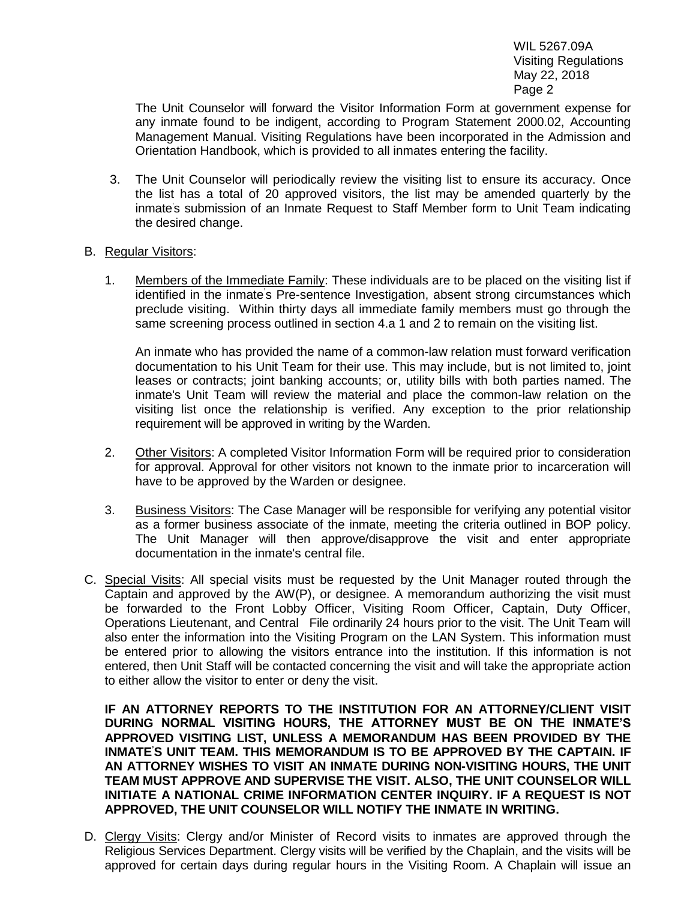The Unit Counselor will forward the Visitor Information Form at government expense for any inmate found to be indigent, according to Program Statement 2000.02, Accounting Management Manual. Visiting Regulations have been incorporated in the Admission and Orientation Handbook, which is provided to all inmates entering the facility.

- 3. The Unit Counselor will periodically review the visiting list to ensure its accuracy. Once the list has a total of 20 approved visitors, the list may be amended quarterly by the inmate 's submission of an Inmate Request to Staff Member form to Unit Team indicating the desired change.
- B. Regular Visitors:
	- 1. Members of the Immediate Family: These individuals are to be placed on the visiting list if identified in the inmate's Pre-sentence Investigation, absent strong circumstances which preclude visiting. Within thirty days all immediate family members must go through the same screening process outlined in section 4.a 1 and 2 to remain on the visiting list.

An inmate who has provided the name of a common-law relation must forward verification documentation to his Unit Team for their use. This may include, but is not limited to, joint leases or contracts; joint banking accounts; or, utility bills with both parties named. The inmate's Unit Team will review the material and place the common-law relation on the visiting list once the relationship is verified. Any exception to the prior relationship requirement will be approved in writing by the Warden.

- 2. Other Visitors: A completed Visitor Information Form will be required prior to consideration for approval. Approval for other visitors not known to the inmate prior to incarceration will have to be approved by the Warden or designee.
- 3. Business Visitors: The Case Manager will be responsible for verifying any potential visitor as a former business associate of the inmate, meeting the criteria outlined in BOP policy. The Unit Manager will then approve/disapprove the visit and enter appropriate documentation in the inmate's central file.
- C. Special Visits: All special visits must be requested by the Unit Manager routed through the Captain and approved by the AW(P), or designee. A memorandum authorizing the visit must be forwarded to the Front Lobby Officer, Visiting Room Officer, Captain, Duty Officer, Operations Lieutenant, and Central File ordinarily 24 hours prior to the visit. The Unit Team will also enter the information into the Visiting Program on the LAN System. This information must be entered prior to allowing the visitors entrance into the institution. If this information is not entered, then Unit Staff will be contacted concerning the visit and will take the appropriate action to either allow the visitor to enter or deny the visit.

**IF AN ATTORNEY REPORTS TO THE INSTITUTION FOR AN ATTORNEY/CLIENT VISIT DURING NORMAL VISITING HOURS, THE ATTORNEY MUST BE ON THE INMATE'S APPROVED VISITING LIST, UNLESS A MEMORANDUM HAS BEEN PROVIDED BY THE INMATE'S UNIT TEAM. THIS MEMORANDUM IS TO BE APPROVED BY THE CAPTAIN. IF AN ATTORNEY WISHES TO VISIT AN INMATE DURING NON-VISITING HOURS, THE UNIT TEAM MUST APPROVE AND SUPERVISE THE VISIT. ALSO, THE UNIT COUNSELOR WILL INITIATE A NATIONAL CRIME INFORMATION CENTER INQUIRY. IF A REQUEST IS NOT APPROVED, THE UNIT COUNSELOR WILL NOTIFY THE INMATE IN WRITING.**

D. Clergy Visits: Clergy and/or Minister of Record visits to inmates are approved through the Religious Services Department. Clergy visits will be verified by the Chaplain, and the visits will be approved for certain days during regular hours in the Visiting Room. A Chaplain will issue an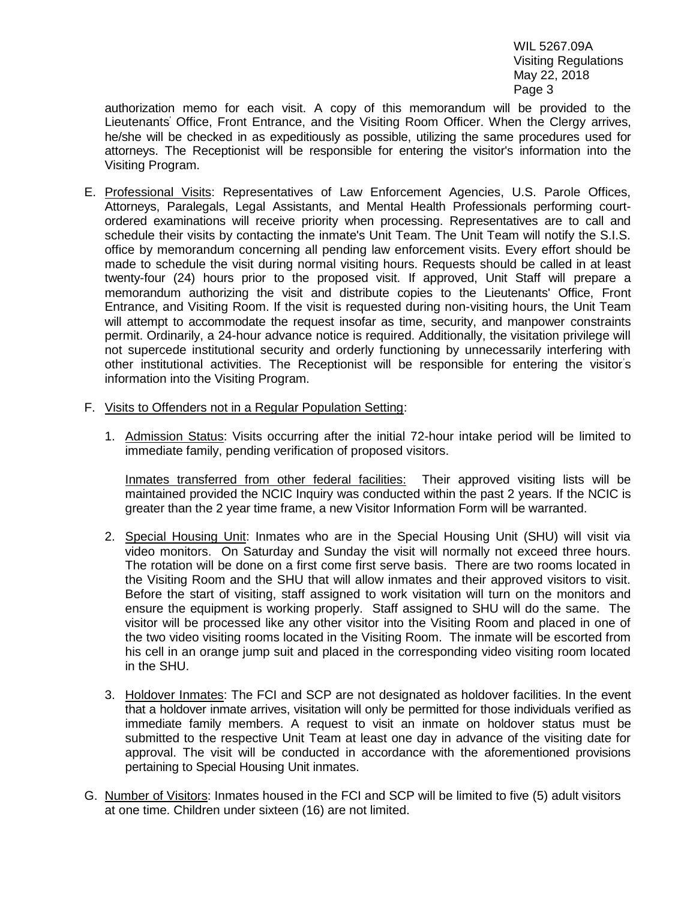authorization memo for each visit. A copy of this memorandum will be provided to the Lieutenants' Office, Front Entrance, and the Visiting Room Officer. When the Clergy arrives, he/she will be checked in as expeditiously as possible, utilizing the same procedures used for attorneys. The Receptionist will be responsible for entering the visitor's information into the Visiting Program.

- E. Professional Visits: Representatives of Law Enforcement Agencies, U.S. Parole Offices, Attorneys, Paralegals, Legal Assistants, and Mental Health Professionals performing courtordered examinations will receive priority when processing. Representatives are to call and schedule their visits by contacting the inmate's Unit Team. The Unit Team will notify the S.I.S. office by memorandum concerning all pending law enforcement visits. Every effort should be made to schedule the visit during normal visiting hours. Requests should be called in at least twenty-four (24) hours prior to the proposed visit. If approved, Unit Staff will prepare a memorandum authorizing the visit and distribute copies to the Lieutenants' Office, Front Entrance, and Visiting Room. If the visit is requested during non-visiting hours, the Unit Team will attempt to accommodate the request insofar as time, security, and manpower constraints permit. Ordinarily, a 24-hour advance notice is required. Additionally, the visitation privilege will not supercede institutional security and orderly functioning by unnecessarily interfering with other institutional activities. The Receptionist will be responsible for entering the visitor's information into the Visiting Program.
- F. Visits to Offenders not in a Regular Population Setting:
	- 1. Admission Status: Visits occurring after the initial 72-hour intake period will be limited to immediate family, pending verification of proposed visitors.

Inmates transferred from other federal facilities: Their approved visiting lists will be maintained provided the NCIC Inquiry was conducted within the past 2 years. If the NCIC is greater than the 2 year time frame, a new Visitor Information Form will be warranted.

- 2. Special Housing Unit: Inmates who are in the Special Housing Unit (SHU) will visit via video monitors. On Saturday and Sunday the visit will normally not exceed three hours. The rotation will be done on a first come first serve basis. There are two rooms located in the Visiting Room and the SHU that will allow inmates and their approved visitors to visit. Before the start of visiting, staff assigned to work visitation will turn on the monitors and ensure the equipment is working properly. Staff assigned to SHU will do the same. The visitor will be processed like any other visitor into the Visiting Room and placed in one of the two video visiting rooms located in the Visiting Room. The inmate will be escorted from his cell in an orange jump suit and placed in the corresponding video visiting room located in the SHU.
- 3. Holdover Inmates: The FCI and SCP are not designated as holdover facilities. In the event that a holdover inmate arrives, visitation will only be permitted for those individuals verified as immediate family members. A request to visit an inmate on holdover status must be submitted to the respective Unit Team at least one day in advance of the visiting date for approval. The visit will be conducted in accordance with the aforementioned provisions pertaining to Special Housing Unit inmates.
- G. Number of Visitors: Inmates housed in the FCI and SCP will be limited to five (5) adult visitors at one time. Children under sixteen (16) are not limited.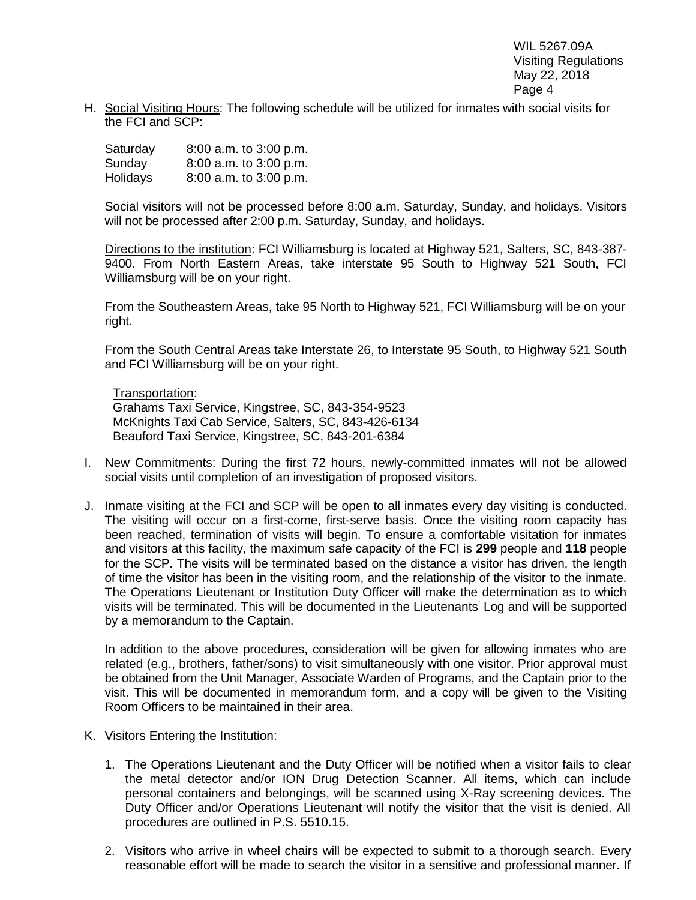H. Social Visiting Hours: The following schedule will be utilized for inmates with social visits for the FCI and SCP:

| Saturday | 8:00 a.m. to 3:00 p.m. |
|----------|------------------------|
| Sunday   | 8:00 a.m. to 3:00 p.m. |
| Holidays | 8:00 a.m. to 3:00 p.m. |

Social visitors will not be processed before 8:00 a.m. Saturday, Sunday, and holidays. Visitors will not be processed after 2:00 p.m. Saturday, Sunday, and holidays.

Directions to the institution: FCI Williamsburg is located at Highway 521, Salters, SC, 843-387- 9400. From North Eastern Areas, take interstate 95 South to Highway 521 South, FCI Williamsburg will be on your right.

From the Southeastern Areas, take 95 North to Highway 521, FCI Williamsburg will be on your right.

From the South Central Areas take Interstate 26, to Interstate 95 South, to Highway 521 South and FCI Williamsburg will be on your right.

Transportation: Grahams Taxi Service, Kingstree, SC, 843-354-9523 McKnights Taxi Cab Service, Salters, SC, 843-426-6134 Beauford Taxi Service, Kingstree, SC, 843-201-6384

- I. New Commitments: During the first 72 hours, newly-committed inmates will not be allowed social visits until completion of an investigation of proposed visitors.
- J. Inmate visiting at the FCI and SCP will be open to all inmates every day visiting is conducted. The visiting will occur on a first-come, first-serve basis. Once the visiting room capacity has been reached, termination of visits will begin. To ensure a comfortable visitation for inmates and visitors at this facility, the maximum safe capacity of the FCI is **299** people and **118** people for the SCP. The visits will be terminated based on the distance a visitor has driven, the length of time the visitor has been in the visiting room, and the relationship of the visitor to the inmate. The Operations Lieutenant or Institution Duty Officer will make the determination as to which visits will be terminated. This will be documented in the Lieutenants' Log and will be supported by a memorandum to the Captain.

In addition to the above procedures, consideration will be given for allowing inmates who are related (e.g., brothers, father/sons) to visit simultaneously with one visitor. Prior approval must be obtained from the Unit Manager, Associate Warden of Programs, and the Captain prior to the visit. This will be documented in memorandum form, and a copy will be given to the Visiting Room Officers to be maintained in their area.

- K. Visitors Entering the Institution:
	- 1. The Operations Lieutenant and the Duty Officer will be notified when a visitor fails to clear the metal detector and/or ION Drug Detection Scanner. All items, which can include personal containers and belongings, will be scanned using X-Ray screening devices. The Duty Officer and/or Operations Lieutenant will notify the visitor that the visit is denied. All procedures are outlined in P.S. 5510.15.
	- 2. Visitors who arrive in wheel chairs will be expected to submit to a thorough search. Every reasonable effort will be made to search the visitor in a sensitive and professional manner. If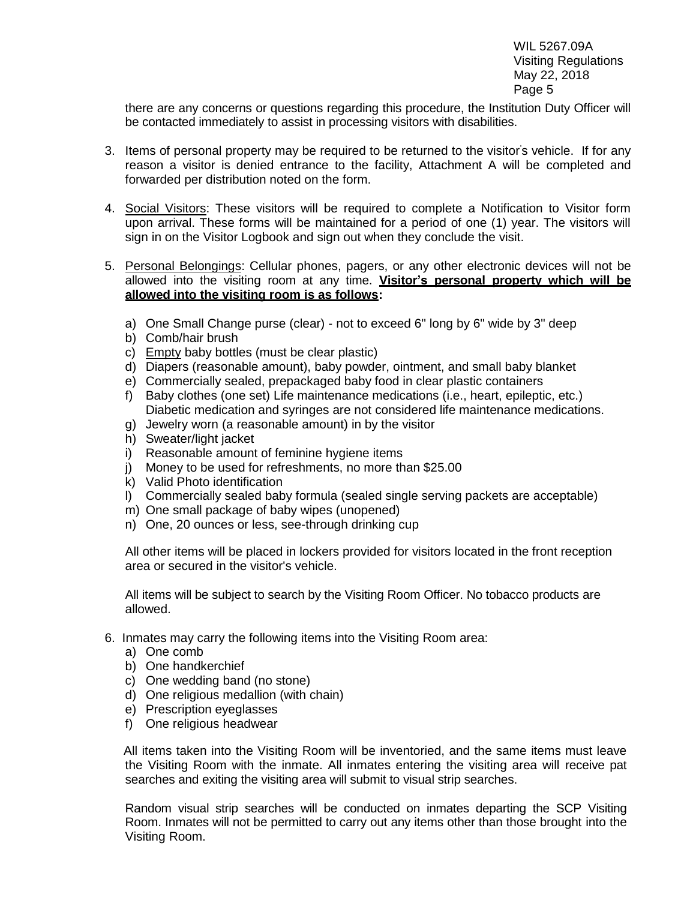there are any concerns or questions regarding this procedure, the Institution Duty Officer will be contacted immediately to assist in processing visitors with disabilities.

- 3. Items of personal property may be required to be returned to the visitor's vehicle. If for any reason a visitor is denied entrance to the facility, Attachment A will be completed and forwarded per distribution noted on the form.
- 4. Social Visitors: These visitors will be required to complete a Notification to Visitor form upon arrival. These forms will be maintained for a period of one (1) year. The visitors will sign in on the Visitor Logbook and sign out when they conclude the visit.
- 5. Personal Belongings: Cellular phones, pagers, or any other electronic devices will not be allowed into the visiting room at any time. **Visitor's personal property which will be allowed into the visiting room is as follows:**
	- a) One Small Change purse (clear) not to exceed 6" long by 6" wide by 3" deep
	- b) Comb/hair brush
	- c) Empty baby bottles (must be clear plastic)
	- d) Diapers (reasonable amount), baby powder, ointment, and small baby blanket
	- e) Commercially sealed, prepackaged baby food in clear plastic containers
	- f) Baby clothes (one set) Life maintenance medications (i.e., heart, epileptic, etc.) Diabetic medication and syringes are not considered life maintenance medications.
	- g) Jewelry worn (a reasonable amount) in by the visitor
	- h) Sweater/light jacket
	- i) Reasonable amount of feminine hygiene items
	- j) Money to be used for refreshments, no more than \$25.00
	- k) Valid Photo identification
	- l) Commercially sealed baby formula (sealed single serving packets are acceptable)
	- m) One small package of baby wipes (unopened)
	- n) One, 20 ounces or less, see-through drinking cup

All other items will be placed in lockers provided for visitors located in the front reception area or secured in the visitor's vehicle.

All items will be subject to search by the Visiting Room Officer. No tobacco products are allowed.

- 6. Inmates may carry the following items into the Visiting Room area:
	- a) One comb
	- b) One handkerchief
	- c) One wedding band (no stone)
	- d) One religious medallion (with chain)
	- e) Prescription eyeglasses
	- f) One religious headwear

All items taken into the Visiting Room will be inventoried, and the same items must leave the Visiting Room with the inmate. All inmates entering the visiting area will receive pat searches and exiting the visiting area will submit to visual strip searches.

Random visual strip searches will be conducted on inmates departing the SCP Visiting Room. Inmates will not be permitted to carry out any items other than those brought into the Visiting Room.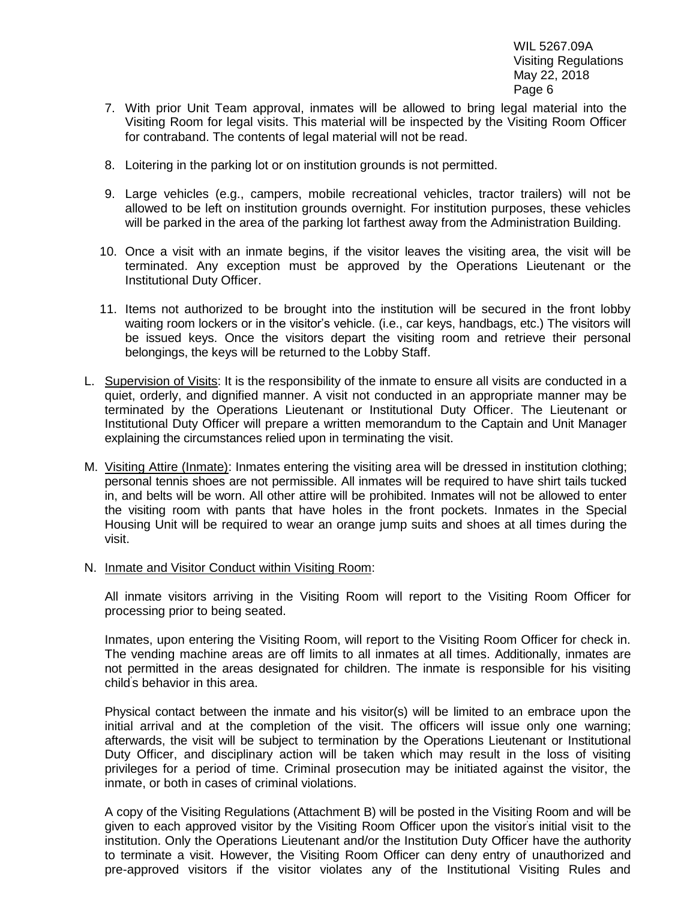- 7. With prior Unit Team approval, inmates will be allowed to bring legal material into the Visiting Room for legal visits. This material will be inspected by the Visiting Room Officer for contraband. The contents of legal material will not be read.
- 8. Loitering in the parking lot or on institution grounds is not permitted.
- 9. Large vehicles (e.g., campers, mobile recreational vehicles, tractor trailers) will not be allowed to be left on institution grounds overnight. For institution purposes, these vehicles will be parked in the area of the parking lot farthest away from the Administration Building.
- 10. Once a visit with an inmate begins, if the visitor leaves the visiting area, the visit will be terminated. Any exception must be approved by the Operations Lieutenant or the Institutional Duty Officer.
- 11. Items not authorized to be brought into the institution will be secured in the front lobby waiting room lockers or in the visitor's vehicle. (i.e., car keys, handbags, etc.) The visitors will be issued keys. Once the visitors depart the visiting room and retrieve their personal belongings, the keys will be returned to the Lobby Staff.
- L. Supervision of Visits: It is the responsibility of the inmate to ensure all visits are conducted in a quiet, orderly, and dignified manner. A visit not conducted in an appropriate manner may be terminated by the Operations Lieutenant or Institutional Duty Officer. The Lieutenant or Institutional Duty Officer will prepare a written memorandum to the Captain and Unit Manager explaining the circumstances relied upon in terminating the visit.
- M. Visiting Attire (Inmate): Inmates entering the visiting area will be dressed in institution clothing; personal tennis shoes are not permissible. All inmates will be required to have shirt tails tucked in, and belts will be worn. All other attire will be prohibited. Inmates will not be allowed to enter the visiting room with pants that have holes in the front pockets. Inmates in the Special Housing Unit will be required to wear an orange jump suits and shoes at all times during the visit.
- N. Inmate and Visitor Conduct within Visiting Room:

All inmate visitors arriving in the Visiting Room will report to the Visiting Room Officer for processing prior to being seated.

Inmates, upon entering the Visiting Room, will report to the Visiting Room Officer for check in. The vending machine areas are off limits to all inmates at all times. Additionally, inmates are not permitted in the areas designated for children. The inmate is responsible for his visiting child's behavior in this area.

Physical contact between the inmate and his visitor(s) will be limited to an embrace upon the initial arrival and at the completion of the visit. The officers will issue only one warning; afterwards, the visit will be subject to termination by the Operations Lieutenant or Institutional Duty Officer, and disciplinary action will be taken which may result in the loss of visiting privileges for a period of time. Criminal prosecution may be initiated against the visitor, the inmate, or both in cases of criminal violations.

A copy of the Visiting Regulations (Attachment B) will be posted in the Visiting Room and will be given to each approved visitor by the Visiting Room Officer upon the visitor's initial visit to the institution. Only the Operations Lieutenant and/or the Institution Duty Officer have the authority to terminate a visit. However, the Visiting Room Officer can deny entry of unauthorized and pre-approved visitors if the visitor violates any of the Institutional Visiting Rules and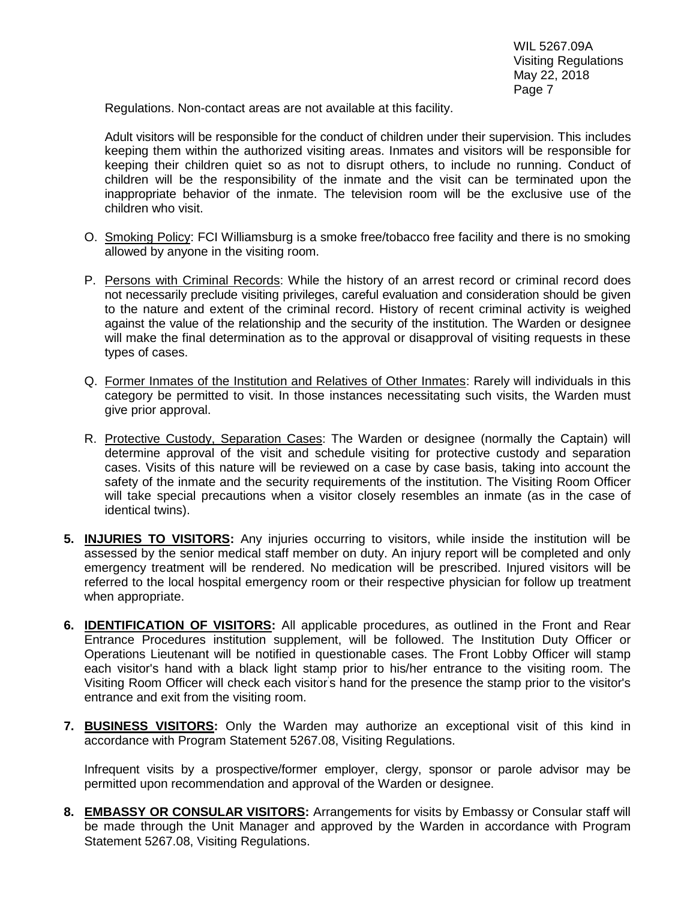Regulations. Non-contact areas are not available at this facility.

Adult visitors will be responsible for the conduct of children under their supervision. This includes keeping them within the authorized visiting areas. Inmates and visitors will be responsible for keeping their children quiet so as not to disrupt others, to include no running. Conduct of children will be the responsibility of the inmate and the visit can be terminated upon the inappropriate behavior of the inmate. The television room will be the exclusive use of the children who visit.

- O. Smoking Policy: FCI Williamsburg is a smoke free/tobacco free facility and there is no smoking allowed by anyone in the visiting room.
- P. Persons with Criminal Records: While the history of an arrest record or criminal record does not necessarily preclude visiting privileges, careful evaluation and consideration should be given to the nature and extent of the criminal record. History of recent criminal activity is weighed against the value of the relationship and the security of the institution. The Warden or designee will make the final determination as to the approval or disapproval of visiting requests in these types of cases.
- Q. Former Inmates of the Institution and Relatives of Other Inmates: Rarely will individuals in this category be permitted to visit. In those instances necessitating such visits, the Warden must give prior approval.
- R. Protective Custody, Separation Cases: The Warden or designee (normally the Captain) will determine approval of the visit and schedule visiting for protective custody and separation cases. Visits of this nature will be reviewed on a case by case basis, taking into account the safety of the inmate and the security requirements of the institution. The Visiting Room Officer will take special precautions when a visitor closely resembles an inmate (as in the case of identical twins).
- **5. INJURIES TO VISITORS:** Any injuries occurring to visitors, while inside the institution will be assessed by the senior medical staff member on duty. An injury report will be completed and only emergency treatment will be rendered. No medication will be prescribed. Injured visitors will be referred to the local hospital emergency room or their respective physician for follow up treatment when appropriate.
- **6. IDENTIFICATION OF VISITORS:** All applicable procedures, as outlined in the Front and Rear Entrance Procedures institution supplement, will be followed. The Institution Duty Officer or Operations Lieutenant will be notified in questionable cases. The Front Lobby Officer will stamp each visitor's hand with a black light stamp prior to his/her entrance to the visiting room. The Visiting Room Officer will check each visitor's hand for the presence the stamp prior to the visitor's entrance and exit from the visiting room.
- **7. BUSINESS VISITORS:** Only the Warden may authorize an exceptional visit of this kind in accordance with Program Statement 5267.08, Visiting Regulations.

Infrequent visits by a prospective/former employer, clergy, sponsor or parole advisor may be permitted upon recommendation and approval of the Warden or designee.

**8. EMBASSY OR CONSULAR VISITORS:** Arrangements for visits by Embassy or Consular staff will be made through the Unit Manager and approved by the Warden in accordance with Program Statement 5267.08, Visiting Regulations.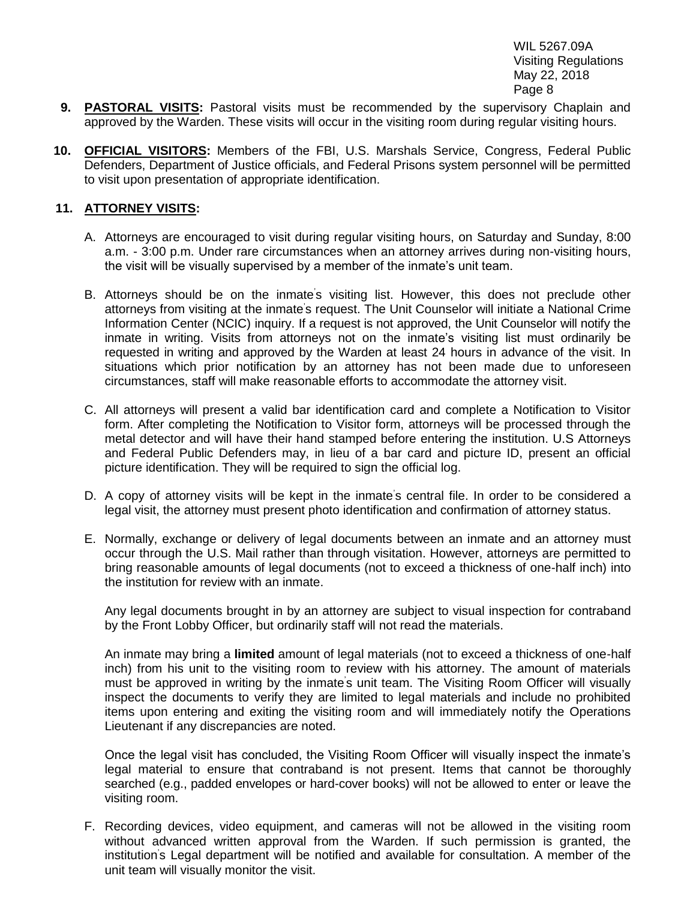- **9. PASTORAL VISITS:** Pastoral visits must be recommended by the supervisory Chaplain and approved by the Warden. These visits will occur in the visiting room during regular visiting hours.
- **10. OFFICIAL VISITORS:** Members of the FBI, U.S. Marshals Service, Congress, Federal Public Defenders, Department of Justice officials, and Federal Prisons system personnel will be permitted to visit upon presentation of appropriate identification.

#### **11. ATTORNEY VISITS:**

- A. Attorneys are encouraged to visit during regular visiting hours, on Saturday and Sunday, 8:00 a.m. - 3:00 p.m. Under rare circumstances when an attorney arrives during non-visiting hours, the visit will be visually supervised by a member of the inmate's unit team.
- B. Attorneys should be on the inmate's visiting list. However, this does not preclude other attorneys from visiting at the inmate's request. The Unit Counselor will initiate a National Crime Information Center (NCIC) inquiry. If a request is not approved, the Unit Counselor will notify the inmate in writing. Visits from attorneys not on the inmate's visiting list must ordinarily be requested in writing and approved by the Warden at least 24 hours in advance of the visit. In situations which prior notification by an attorney has not been made due to unforeseen circumstances, staff will make reasonable efforts to accommodate the attorney visit.
- C. All attorneys will present a valid bar identification card and complete a Notification to Visitor form. After completing the Notification to Visitor form, attorneys will be processed through the metal detector and will have their hand stamped before entering the institution. U.S Attorneys and Federal Public Defenders may, in lieu of a bar card and picture ID, present an official picture identification. They will be required to sign the official log.
- D. A copy of attorney visits will be kept in the inmate's central file. In order to be considered a legal visit, the attorney must present photo identification and confirmation of attorney status.
- E. Normally, exchange or delivery of legal documents between an inmate and an attorney must occur through the U.S. Mail rather than through visitation. However, attorneys are permitted to bring reasonable amounts of legal documents (not to exceed a thickness of one-half inch) into the institution for review with an inmate.

Any legal documents brought in by an attorney are subject to visual inspection for contraband by the Front Lobby Officer, but ordinarily staff will not read the materials.

An inmate may bring a **limited** amount of legal materials (not to exceed a thickness of one-half inch) from his unit to the visiting room to review with his attorney. The amount of materials must be approved in writing by the inmate's unit team. The Visiting Room Officer will visually inspect the documents to verify they are limited to legal materials and include no prohibited items upon entering and exiting the visiting room and will immediately notify the Operations Lieutenant if any discrepancies are noted.

Once the legal visit has concluded, the Visiting Room Officer will visually inspect the inmate's legal material to ensure that contraband is not present. Items that cannot be thoroughly searched (e.g., padded envelopes or hard-cover books) will not be allowed to enter or leave the visiting room.

F. Recording devices, video equipment, and cameras will not be allowed in the visiting room without advanced written approval from the Warden. If such permission is granted, the institution's Legal department will be notified and available for consultation. A member of the unit team will visually monitor the visit.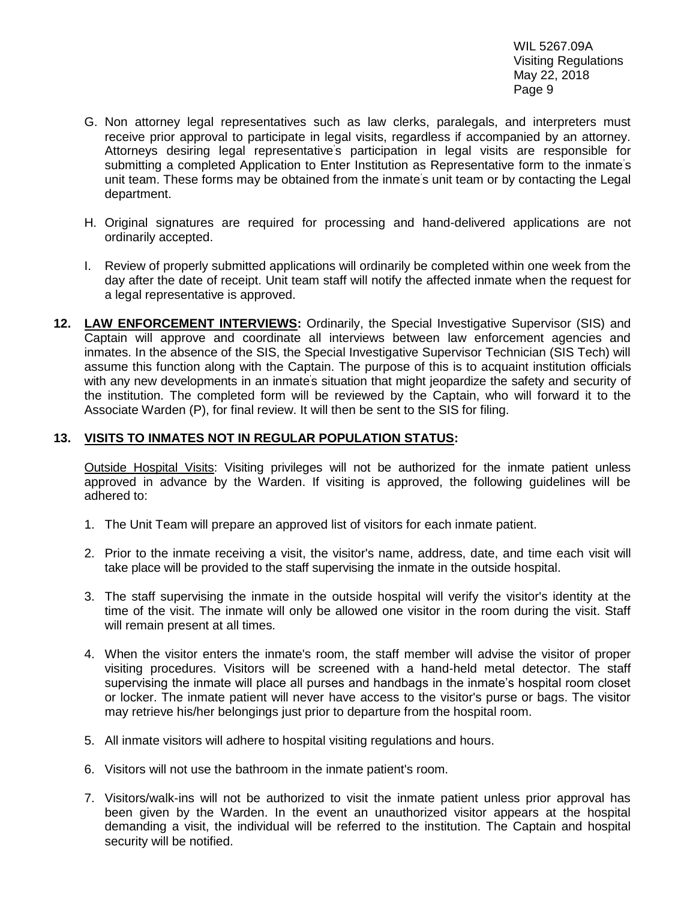- G. Non attorney legal representatives such as law clerks, paralegals, and interpreters must receive prior approval to participate in legal visits, regardless if accompanied by an attorney. Attorneys desiring legal representative's participation in legal visits are responsible for submitting a completed Application to Enter Institution as Representative form to the inmate's unit team. These forms may be obtained from the inmate's unit team or by contacting the Legal department.
- H. Original signatures are required for processing and hand-delivered applications are not ordinarily accepted.
- I. Review of properly submitted applications will ordinarily be completed within one week from the day after the date of receipt. Unit team staff will notify the affected inmate when the request for a legal representative is approved.
- **12. LAW ENFORCEMENT INTERVIEWS:** Ordinarily, the Special Investigative Supervisor (SIS) and Captain will approve and coordinate all interviews between law enforcement agencies and inmates. In the absence of the SIS, the Special Investigative Supervisor Technician (SIS Tech) will assume this function along with the Captain. The purpose of this is to acquaint institution officials with any new developments in an inmate's situation that might jeopardize the safety and security of the institution. The completed form will be reviewed by the Captain, who will forward it to the Associate Warden (P), for final review. It will then be sent to the SIS for filing.

## **13. VISITS TO INMATES NOT IN REGULAR POPULATION STATUS:**

Outside Hospital Visits: Visiting privileges will not be authorized for the inmate patient unless approved in advance by the Warden. If visiting is approved, the following guidelines will be adhered to:

- 1. The Unit Team will prepare an approved list of visitors for each inmate patient.
- 2. Prior to the inmate receiving a visit, the visitor's name, address, date, and time each visit will take place will be provided to the staff supervising the inmate in the outside hospital.
- 3. The staff supervising the inmate in the outside hospital will verify the visitor's identity at the time of the visit. The inmate will only be allowed one visitor in the room during the visit. Staff will remain present at all times.
- 4. When the visitor enters the inmate's room, the staff member will advise the visitor of proper visiting procedures. Visitors will be screened with a hand-held metal detector. The staff supervising the inmate will place all purses and handbags in the inmate's hospital room closet or locker. The inmate patient will never have access to the visitor's purse or bags. The visitor may retrieve his/her belongings just prior to departure from the hospital room.
- 5. All inmate visitors will adhere to hospital visiting regulations and hours.
- 6. Visitors will not use the bathroom in the inmate patient's room.
- 7. Visitors/walk-ins will not be authorized to visit the inmate patient unless prior approval has been given by the Warden. In the event an unauthorized visitor appears at the hospital demanding a visit, the individual will be referred to the institution. The Captain and hospital security will be notified.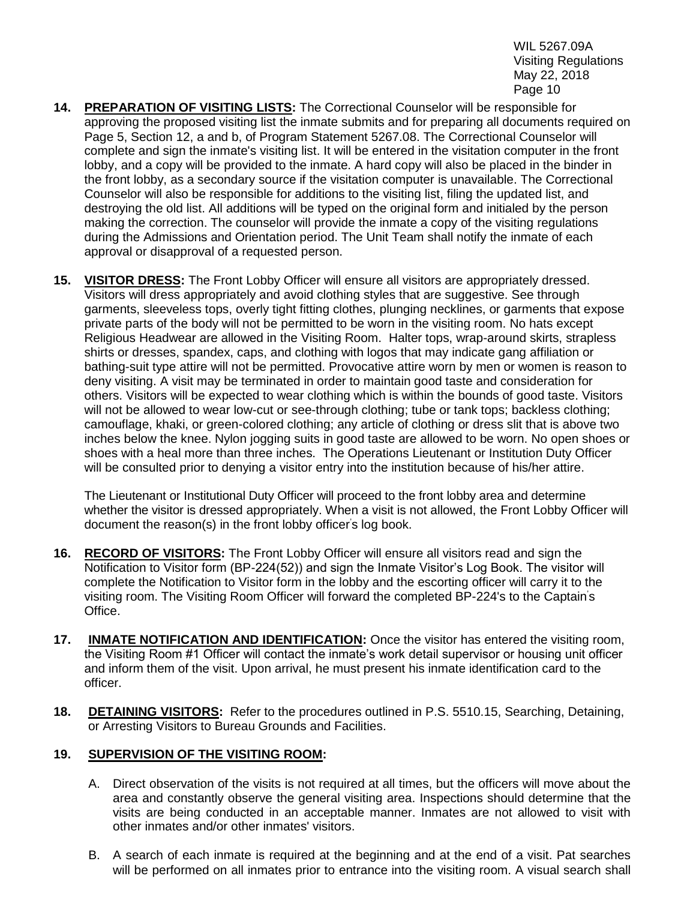- **14. PREPARATION OF VISITING LISTS:** The Correctional Counselor will be responsible for approving the proposed visiting list the inmate submits and for preparing all documents required on Page 5, Section 12, a and b, of Program Statement 5267.08. The Correctional Counselor will complete and sign the inmate's visiting list. It will be entered in the visitation computer in the front lobby, and a copy will be provided to the inmate. A hard copy will also be placed in the binder in the front lobby, as a secondary source if the visitation computer is unavailable. The Correctional Counselor will also be responsible for additions to the visiting list, filing the updated list, and destroying the old list. All additions will be typed on the original form and initialed by the person making the correction. The counselor will provide the inmate a copy of the visiting regulations during the Admissions and Orientation period. The Unit Team shall notify the inmate of each approval or disapproval of a requested person.
- **15. VISITOR DRESS:** The Front Lobby Officer will ensure all visitors are appropriately dressed. Visitors will dress appropriately and avoid clothing styles that are suggestive. See through garments, sleeveless tops, overly tight fitting clothes, plunging necklines, or garments that expose private parts of the body will not be permitted to be worn in the visiting room. No hats except Religious Headwear are allowed in the Visiting Room. Halter tops, wrap-around skirts, strapless shirts or dresses, spandex, caps, and clothing with logos that may indicate gang affiliation or bathing-suit type attire will not be permitted. Provocative attire worn by men or women is reason to deny visiting. A visit may be terminated in order to maintain good taste and consideration for others. Visitors will be expected to wear clothing which is within the bounds of good taste. Visitors will not be allowed to wear low-cut or see-through clothing; tube or tank tops; backless clothing; camouflage, khaki, or green-colored clothing; any article of clothing or dress slit that is above two inches below the knee. Nylon jogging suits in good taste are allowed to be worn. No open shoes or shoes with a heal more than three inches. The Operations Lieutenant or Institution Duty Officer will be consulted prior to denying a visitor entry into the institution because of his/her attire.

The Lieutenant or Institutional Duty Officer will proceed to the front lobby area and determine whether the visitor is dressed appropriately. When a visit is not allowed, the Front Lobby Officer will document the reason(s) in the front lobby officer's log book.

- **16. RECORD OF VISITORS:** The Front Lobby Officer will ensure all visitors read and sign the Notification to Visitor form (BP-224(52)) and sign the Inmate Visitor's Log Book. The visitor will complete the Notification to Visitor form in the lobby and the escorting officer will carry it to the visiting room. The Visiting Room Officer will forward the completed BP-224's to the Captain's Office.
- **17. INMATE NOTIFICATION AND IDENTIFICATION:** Once the visitor has entered the visiting room, the Visiting Room #1 Officer will contact the inmate's work detail supervisor or housing unit officer and inform them of the visit. Upon arrival, he must present his inmate identification card to the officer.
- **18. DETAINING VISITORS:** Refer to the procedures outlined in P.S. 5510.15, Searching, Detaining, or Arresting Visitors to Bureau Grounds and Facilities.

## **19. SUPERVISION OF THE VISITING ROOM:**

- A. Direct observation of the visits is not required at all times, but the officers will move about the area and constantly observe the general visiting area. Inspections should determine that the visits are being conducted in an acceptable manner. Inmates are not allowed to visit with other inmates and/or other inmates' visitors.
- B. A search of each inmate is required at the beginning and at the end of a visit. Pat searches will be performed on all inmates prior to entrance into the visiting room. A visual search shall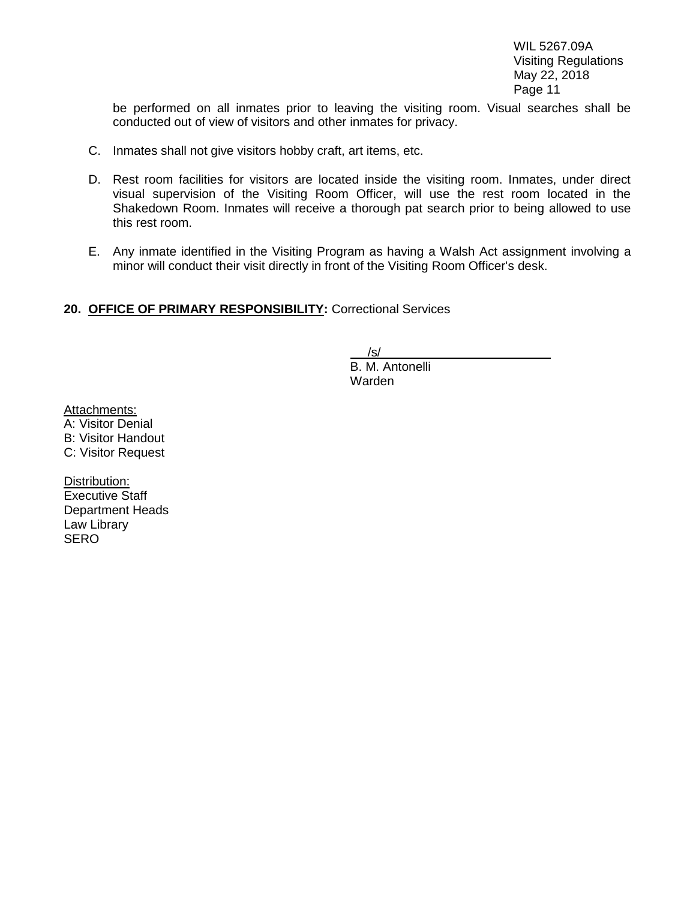be performed on all inmates prior to leaving the visiting room. Visual searches shall be conducted out of view of visitors and other inmates for privacy.

- C. Inmates shall not give visitors hobby craft, art items, etc.
- D. Rest room facilities for visitors are located inside the visiting room. Inmates, under direct visual supervision of the Visiting Room Officer, will use the rest room located in the Shakedown Room. Inmates will receive a thorough pat search prior to being allowed to use this rest room.
- E. Any inmate identified in the Visiting Program as having a Walsh Act assignment involving a minor will conduct their visit directly in front of the Visiting Room Officer's desk.

## **20. OFFICE OF PRIMARY RESPONSIBILITY:** Correctional Services

/s/

 $B. M.$  Antonelli Warden

Attachments:

A: Visitor Denial B: Visitor Handout C: Visitor Request

Distribution: Executive Staff Department Heads Law Library **SERO**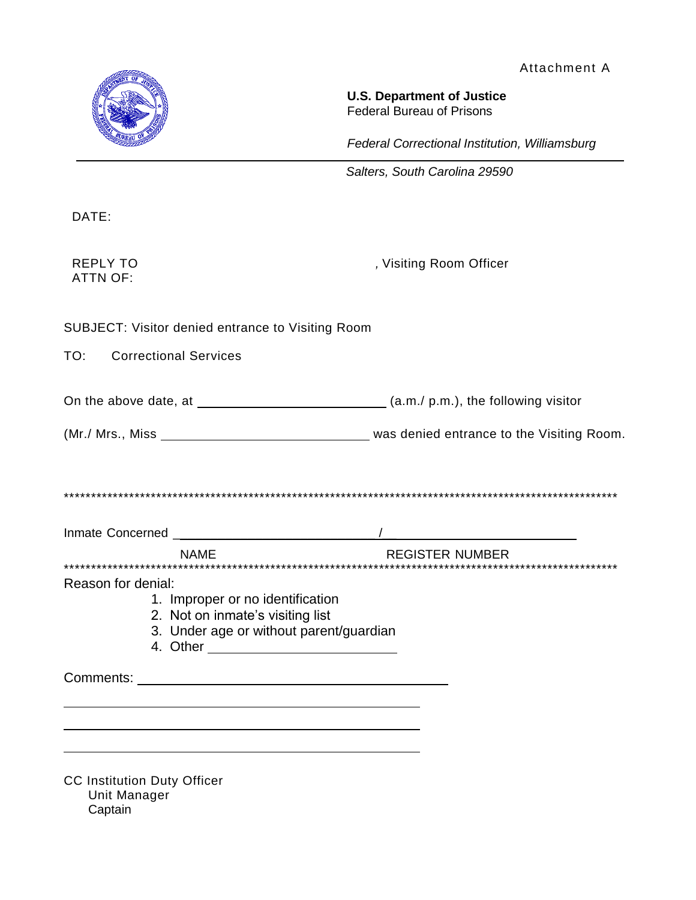Attachment A



**U.S. Department of Justice** Federal Bureau of Prisons

*Federal Correctional Institution, Williamsburg*

*Salters, South Carolina 29590*

DATE:

ATTN OF:

REPLY TO **REPLY TO** *, Visiting Room Officer* 

SUBJECT: Visitor denied entrance to Visiting Room

TO: Correctional Services

On the above date, at  $\frac{1}{\sqrt{a}}$  (a.m./ p.m.), the following visitor

| (Mr./ Mrs., Miss | was denied entrance to the Visiting Room. |
|------------------|-------------------------------------------|
|------------------|-------------------------------------------|

\*\*\*\*\*\*\*\*\*\*\*\*\*\*\*\*\*\*\*\*\*\*\*\*\*\*\*\*\*\*\*\*\*\*\*\*\*\*\*\*\*\*\*\*\*\*\*\*\*\*\*\*\*\*\*\*\*\*\*\*\*\*\*\*\*\*\*\*\*\*\*\*\*\*\*\*\*\*\*\*\*\*\*\*\*\*\*\*\*\*\*\*\*\*\*\*\*\*\*\*\*\*

| Inmate Concerned |             |                        |
|------------------|-------------|------------------------|
|                  | <b>NAMF</b> | <b>REGISTER NUMBER</b> |

\*\*\*\*\*\*\*\*\*\*\*\*\*\*\*\*\*\*\*\*\*\*\*\*\*\*\*\*\*\*\*\*\*\*\*\*\*\*\*\*\*\*\*\*\*\*\*\*\*\*\*\*\*\*\*\*\*\*\*\*\*\*\*\*\*\*\*\*\*\*\*\*\*\*\*\*\*\*\*\*\*\*\*\*\*\*\*\*\*\*\*\*\*\*\*\*\*\*\*\*\*\*

Reason for denial:

- 1. Improper or no identification
- 2. Not on inmate's visiting list
- 3. Under age or without parent/guardian
- 4. Other

Comments: University of the Comments of the Comments of the Comments of the Comments of the Comments of the Comments of the Comments of the Comments of the Comments of the Comments of the Comments of the Comments of the Co

CC Institution Duty Officer Unit Manager **Captain**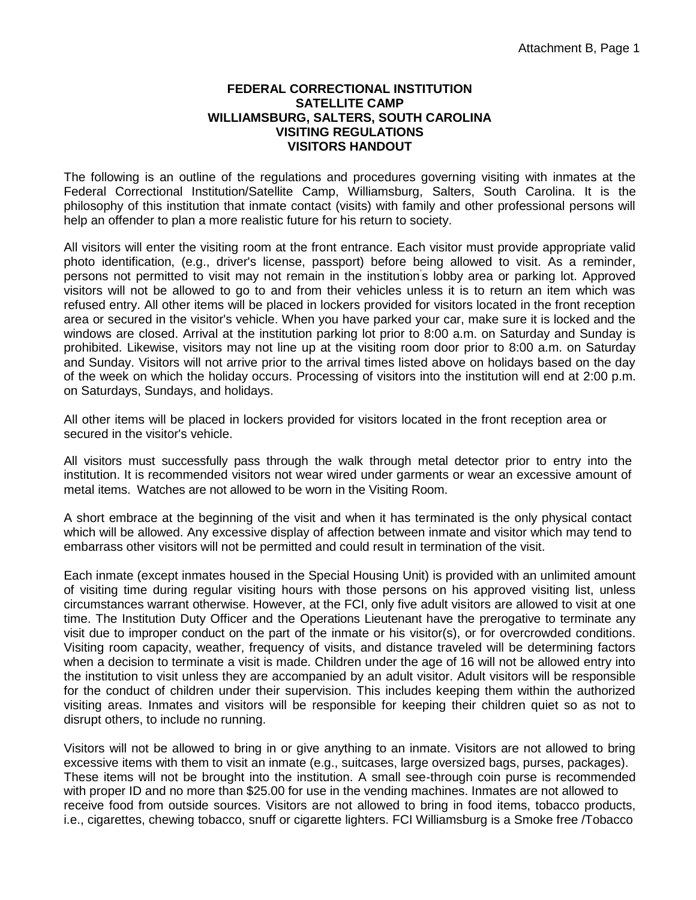#### **FEDERAL CORRECTIONAL INSTITUTION SATELLITE CAMP WILLIAMSBURG, SALTERS, SOUTH CAROLINA VISITING REGULATIONS VISITORS HANDOUT**

The following is an outline of the regulations and procedures governing visiting with inmates at the Federal Correctional Institution/Satellite Camp, Williamsburg, Salters, South Carolina. It is the philosophy of this institution that inmate contact (visits) with family and other professional persons will help an offender to plan a more realistic future for his return to society.

All visitors will enter the visiting room at the front entrance. Each visitor must provide appropriate valid photo identification, (e.g., driver's license, passport) before being allowed to visit. As a reminder, persons not permitted to visit may not remain in the institution's lobby area or parking lot. Approved visitors will not be allowed to go to and from their vehicles unless it is to return an item which was refused entry. All other items will be placed in lockers provided for visitors located in the front reception area or secured in the visitor's vehicle. When you have parked your car, make sure it is locked and the windows are closed. Arrival at the institution parking lot prior to 8:00 a.m. on Saturday and Sunday is prohibited. Likewise, visitors may not line up at the visiting room door prior to 8:00 a.m. on Saturday and Sunday. Visitors will not arrive prior to the arrival times listed above on holidays based on the day of the week on which the holiday occurs. Processing of visitors into the institution will end at 2:00 p.m. on Saturdays, Sundays, and holidays.

All other items will be placed in lockers provided for visitors located in the front reception area or secured in the visitor's vehicle.

All visitors must successfully pass through the walk through metal detector prior to entry into the institution. It is recommended visitors not wear wired under garments or wear an excessive amount of metal items. Watches are not allowed to be worn in the Visiting Room.

A short embrace at the beginning of the visit and when it has terminated is the only physical contact which will be allowed. Any excessive display of affection between inmate and visitor which may tend to embarrass other visitors will not be permitted and could result in termination of the visit.

Each inmate (except inmates housed in the Special Housing Unit) is provided with an unlimited amount of visiting time during regular visiting hours with those persons on his approved visiting list, unless circumstances warrant otherwise. However, at the FCI, only five adult visitors are allowed to visit at one time. The Institution Duty Officer and the Operations Lieutenant have the prerogative to terminate any visit due to improper conduct on the part of the inmate or his visitor(s), or for overcrowded conditions. Visiting room capacity, weather, frequency of visits, and distance traveled will be determining factors when a decision to terminate a visit is made. Children under the age of 16 will not be allowed entry into the institution to visit unless they are accompanied by an adult visitor. Adult visitors will be responsible for the conduct of children under their supervision. This includes keeping them within the authorized visiting areas. Inmates and visitors will be responsible for keeping their children quiet so as not to disrupt others, to include no running.

Visitors will not be allowed to bring in or give anything to an inmate. Visitors are not allowed to bring excessive items with them to visit an inmate (e.g., suitcases, large oversized bags, purses, packages). These items will not be brought into the institution. A small see-through coin purse is recommended with proper ID and no more than \$25.00 for use in the vending machines. Inmates are not allowed to receive food from outside sources. Visitors are not allowed to bring in food items, tobacco products, i.e., cigarettes, chewing tobacco, snuff or cigarette lighters. FCI Williamsburg is a Smoke free /Tobacco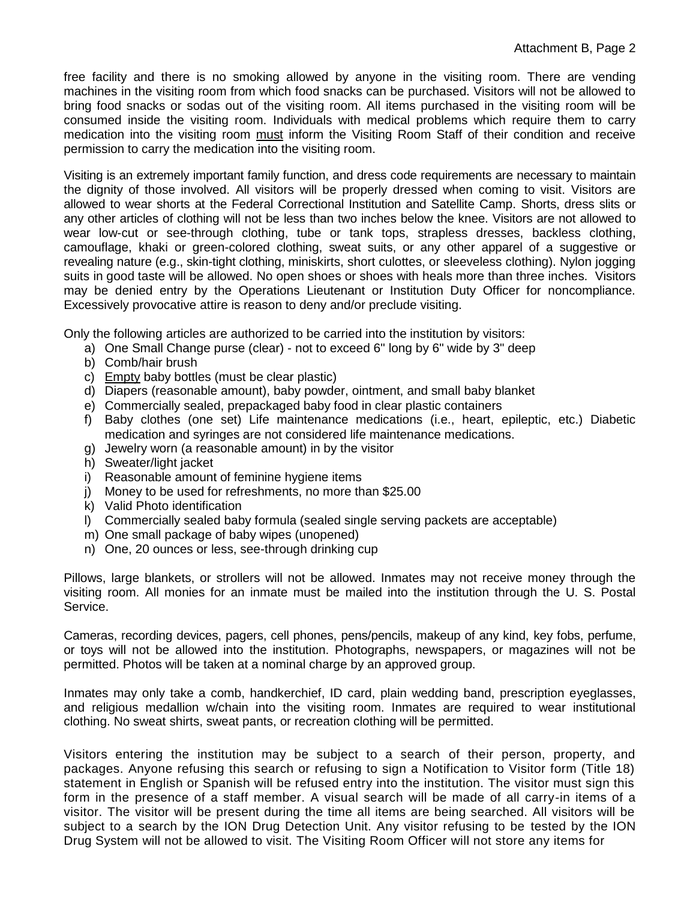free facility and there is no smoking allowed by anyone in the visiting room. There are vending machines in the visiting room from which food snacks can be purchased. Visitors will not be allowed to bring food snacks or sodas out of the visiting room. All items purchased in the visiting room will be consumed inside the visiting room. Individuals with medical problems which require them to carry medication into the visiting room must inform the Visiting Room Staff of their condition and receive permission to carry the medication into the visiting room.

Visiting is an extremely important family function, and dress code requirements are necessary to maintain the dignity of those involved. All visitors will be properly dressed when coming to visit. Visitors are allowed to wear shorts at the Federal Correctional Institution and Satellite Camp. Shorts, dress slits or any other articles of clothing will not be less than two inches below the knee. Visitors are not allowed to wear low-cut or see-through clothing, tube or tank tops, strapless dresses, backless clothing, camouflage, khaki or green-colored clothing, sweat suits, or any other apparel of a suggestive or revealing nature (e.g., skin-tight clothing, miniskirts, short culottes, or sleeveless clothing). Nylon jogging suits in good taste will be allowed. No open shoes or shoes with heals more than three inches. Visitors may be denied entry by the Operations Lieutenant or Institution Duty Officer for noncompliance. Excessively provocative attire is reason to deny and/or preclude visiting.

Only the following articles are authorized to be carried into the institution by visitors:

- a) One Small Change purse (clear) not to exceed 6" long by 6" wide by 3" deep
- b) Comb/hair brush
- c) Empty baby bottles (must be clear plastic)
- d) Diapers (reasonable amount), baby powder, ointment, and small baby blanket
- e) Commercially sealed, prepackaged baby food in clear plastic containers
- f) Baby clothes (one set) Life maintenance medications (i.e., heart, epileptic, etc.) Diabetic medication and syringes are not considered life maintenance medications.
- g) Jewelry worn (a reasonable amount) in by the visitor
- h) Sweater/light jacket
- i) Reasonable amount of feminine hygiene items
- j) Money to be used for refreshments, no more than \$25.00
- k) Valid Photo identification
- l) Commercially sealed baby formula (sealed single serving packets are acceptable)
- m) One small package of baby wipes (unopened)
- n) One, 20 ounces or less, see-through drinking cup

Pillows, large blankets, or strollers will not be allowed. Inmates may not receive money through the visiting room. All monies for an inmate must be mailed into the institution through the U. S. Postal Service.

Cameras, recording devices, pagers, cell phones, pens/pencils, makeup of any kind, key fobs, perfume, or toys will not be allowed into the institution. Photographs, newspapers, or magazines will not be permitted. Photos will be taken at a nominal charge by an approved group.

Inmates may only take a comb, handkerchief, ID card, plain wedding band, prescription eyeglasses, and religious medallion w/chain into the visiting room. Inmates are required to wear institutional clothing. No sweat shirts, sweat pants, or recreation clothing will be permitted.

Visitors entering the institution may be subject to a search of their person, property, and packages. Anyone refusing this search or refusing to sign a Notification to Visitor form (Title 18) statement in English or Spanish will be refused entry into the institution. The visitor must sign this form in the presence of a staff member. A visual search will be made of all carry-in items of a visitor. The visitor will be present during the time all items are being searched. All visitors will be subject to a search by the ION Drug Detection Unit. Any visitor refusing to be tested by the ION Drug System will not be allowed to visit. The Visiting Room Officer will not store any items for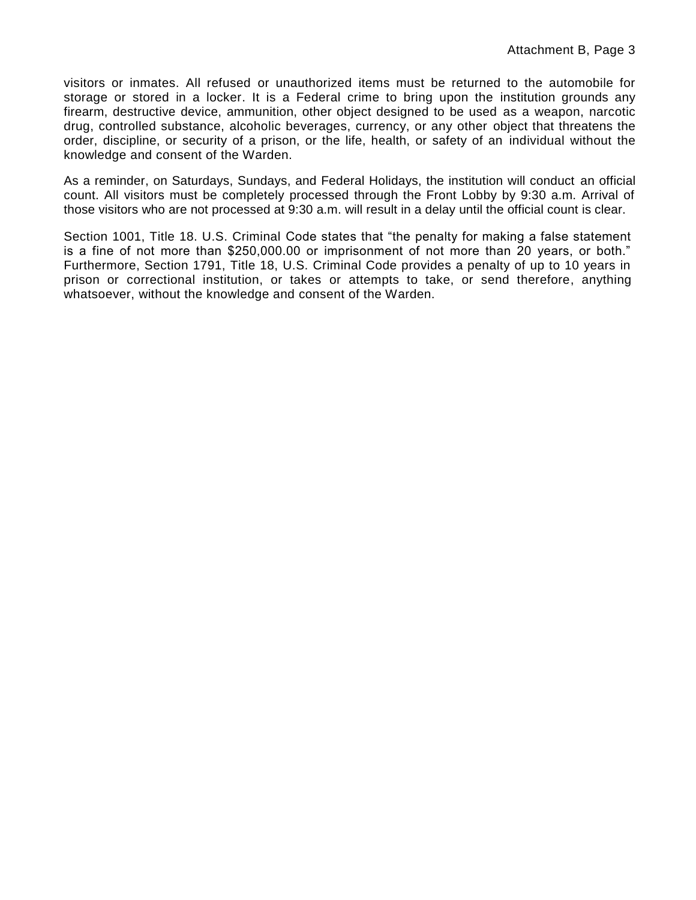visitors or inmates. All refused or unauthorized items must be returned to the automobile for storage or stored in a locker. It is a Federal crime to bring upon the institution grounds any firearm, destructive device, ammunition, other object designed to be used as a weapon, narcotic drug, controlled substance, alcoholic beverages, currency, or any other object that threatens the order, discipline, or security of a prison, or the life, health, or safety of an individual without the knowledge and consent of the Warden.

As a reminder, on Saturdays, Sundays, and Federal Holidays, the institution will conduct an official count. All visitors must be completely processed through the Front Lobby by 9:30 a.m. Arrival of those visitors who are not processed at 9:30 a.m. will result in a delay until the official count is clear.

Section 1001, Title 18. U.S. Criminal Code states that "the penalty for making a false statement is a fine of not more than \$250,000.00 or imprisonment of not more than 20 years, or both." Furthermore, Section 1791, Title 18, U.S. Criminal Code provides a penalty of up to 10 years in prison or correctional institution, or takes or attempts to take, or send therefore, anything whatsoever, without the knowledge and consent of the Warden.